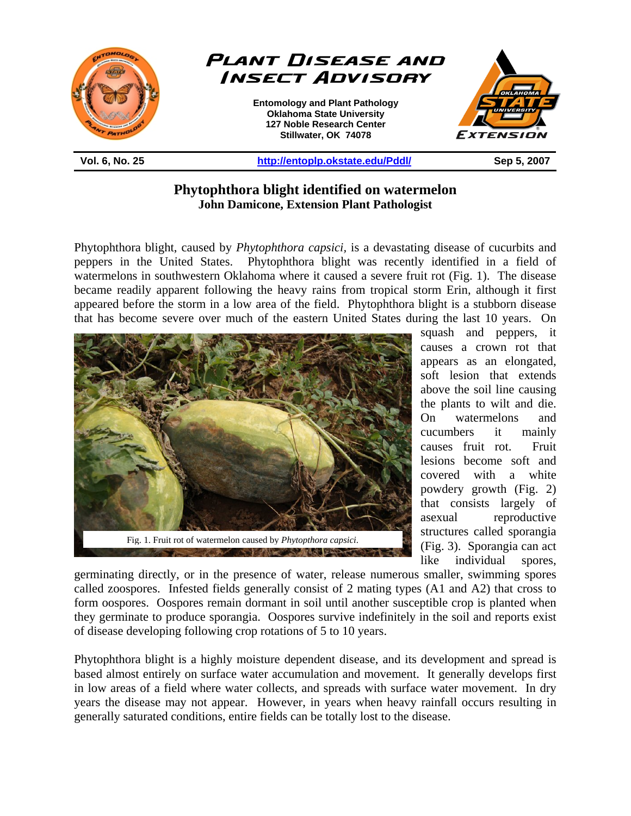

**Phytophthora blight identified on watermelon John Damicone, Extension Plant Pathologist** 

Phytophthora blight, caused by *Phytophthora capsici,* is a devastating disease of cucurbits and peppers in the United States. Phytophthora blight was recently identified in a field of watermelons in southwestern Oklahoma where it caused a severe fruit rot (Fig. 1). The disease became readily apparent following the heavy rains from tropical storm Erin, although it first appeared before the storm in a low area of the field. Phytophthora blight is a stubborn disease that has become severe over much of the eastern United States during the last 10 years. On



squash and peppers, it causes a crown rot that appears as an elongated, soft lesion that extends above the soil line causing the plants to wilt and die. On watermelons and cucumbers it mainly causes fruit rot. Fruit lesions become soft and covered with a white powdery growth (Fig. 2) that consists largely of asexual reproductive structures called sporangia (Fig. 3). Sporangia can act like individual spores,

germinating directly, or in the presence of water, release numerous smaller, swimming spores called zoospores. Infested fields generally consist of 2 mating types (A1 and A2) that cross to form oospores. Oospores remain dormant in soil until another susceptible crop is planted when they germinate to produce sporangia. Oospores survive indefinitely in the soil and reports exist of disease developing following crop rotations of 5 to 10 years.

Phytophthora blight is a highly moisture dependent disease, and its development and spread is based almost entirely on surface water accumulation and movement. It generally develops first in low areas of a field where water collects, and spreads with surface water movement. In dry years the disease may not appear. However, in years when heavy rainfall occurs resulting in generally saturated conditions, entire fields can be totally lost to the disease.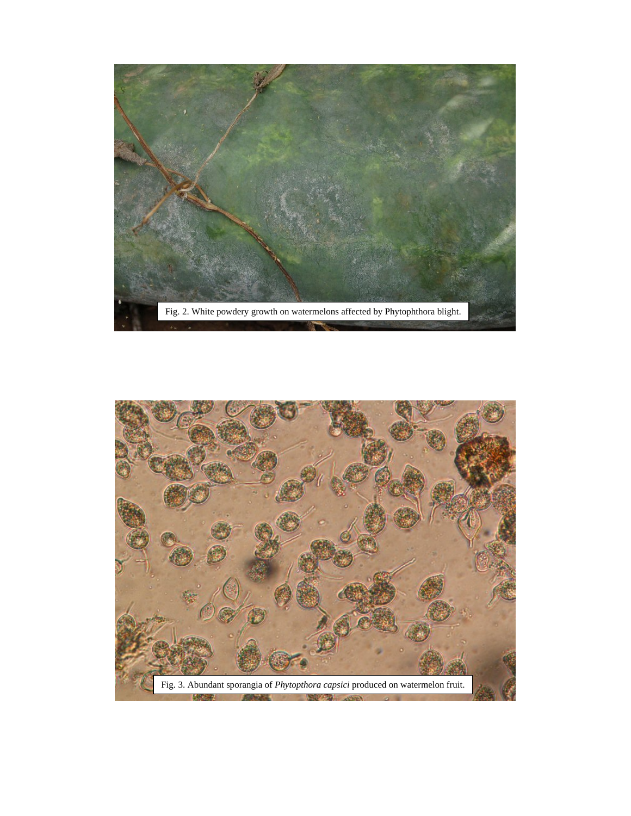